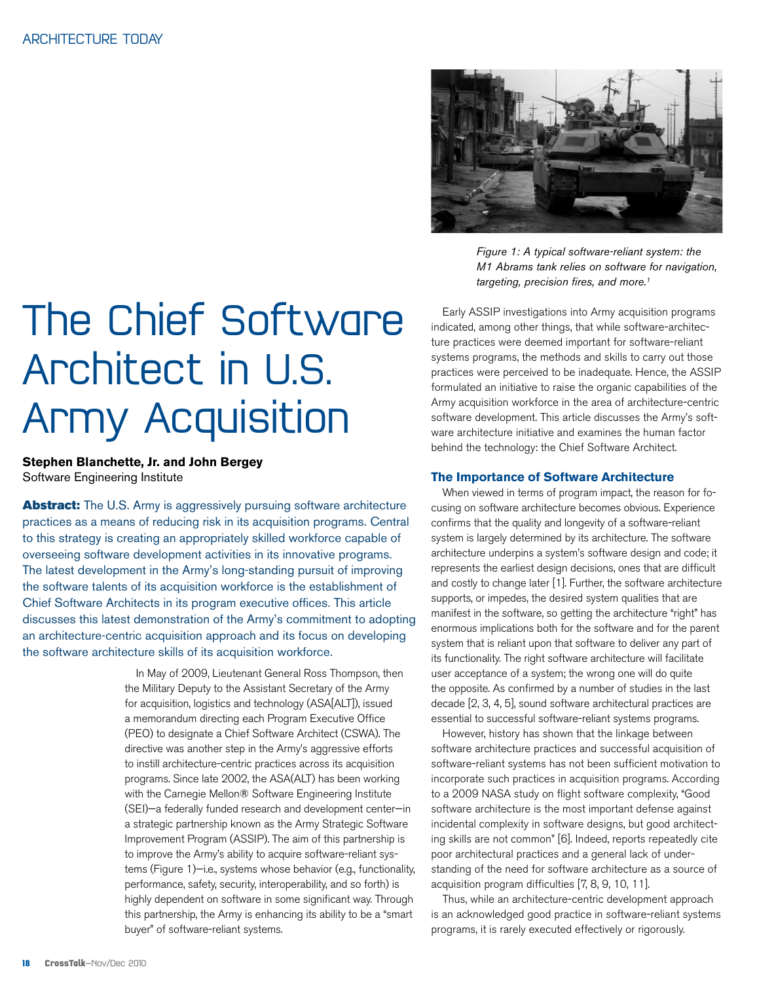*Figure 1: A typical software-reliant system: the M1 Abrams tank relies on software for navigation, targeting, precision fires, and more.1*

# The Chief Software Architect in U.S. Army Acquisition

**Stephen Blanchette, Jr. and John Bergey** Software Engineering Institute

**Abstract:** The U.S. Army is aggressively pursuing software architecture practices as a means of reducing risk in its acquisition programs. Central to this strategy is creating an appropriately skilled workforce capable of overseeing software development activities in its innovative programs. The latest development in the Army's long-standing pursuit of improving the software talents of its acquisition workforce is the establishment of Chief Software Architects in its program executive offices. This article discusses this latest demonstration of the Army's commitment to adopting an architecture-centric acquisition approach and its focus on developing the software architecture skills of its acquisition workforce.

> In May of 2009, Lieutenant General Ross Thompson, then the Military Deputy to the Assistant Secretary of the Army for acquisition, logistics and technology (ASA[ALT]), issued a memorandum directing each Program Executive Office (PEO) to designate a Chief Software Architect (CSWA). The directive was another step in the Army's aggressive efforts to instill architecture-centric practices across its acquisition programs. Since late 2002, the ASA(ALT) has been working with the Carnegie Mellon® Software Engineering Institute (SEI)—a federally funded research and development center—in a strategic partnership known as the Army Strategic Software Improvement Program (ASSIP). The aim of this partnership is to improve the Army's ability to acquire software-reliant systems (Figure 1)—i.e., systems whose behavior (e.g., functionality, performance, safety, security, interoperability, and so forth) is highly dependent on software in some significant way. Through this partnership, the Army is enhancing its ability to be a "smart buyer" of software-reliant systems.

Early ASSIP investigations into Army acquisition programs indicated, among other things, that while software-architecture practices were deemed important for software-reliant systems programs, the methods and skills to carry out those practices were perceived to be inadequate. Hence, the ASSIP formulated an initiative to raise the organic capabilities of the Army acquisition workforce in the area of architecture-centric software development. This article discusses the Army's software architecture initiative and examines the human factor behind the technology: the Chief Software Architect.

#### **The Importance of Software Architecture**

When viewed in terms of program impact, the reason for focusing on software architecture becomes obvious. Experience confirms that the quality and longevity of a software-reliant system is largely determined by its architecture. The software architecture underpins a system's software design and code; it represents the earliest design decisions, ones that are difficult and costly to change later [1]. Further, the software architecture supports, or impedes, the desired system qualities that are manifest in the software, so getting the architecture "right" has enormous implications both for the software and for the parent system that is reliant upon that software to deliver any part of its functionality. The right software architecture will facilitate user acceptance of a system; the wrong one will do quite the opposite. As confirmed by a number of studies in the last decade [2, 3, 4, 5], sound software architectural practices are essential to successful software-reliant systems programs.

However, history has shown that the linkage between software architecture practices and successful acquisition of software-reliant systems has not been sufficient motivation to incorporate such practices in acquisition programs. According to a 2009 NASA study on flight software complexity, "Good software architecture is the most important defense against incidental complexity in software designs, but good architecting skills are not common" [6]. Indeed, reports repeatedly cite poor architectural practices and a general lack of understanding of the need for software architecture as a source of acquisition program difficulties [7, 8, 9, 10, 11].

Thus, while an architecture-centric development approach is an acknowledged good practice in software-reliant systems programs, it is rarely executed effectively or rigorously.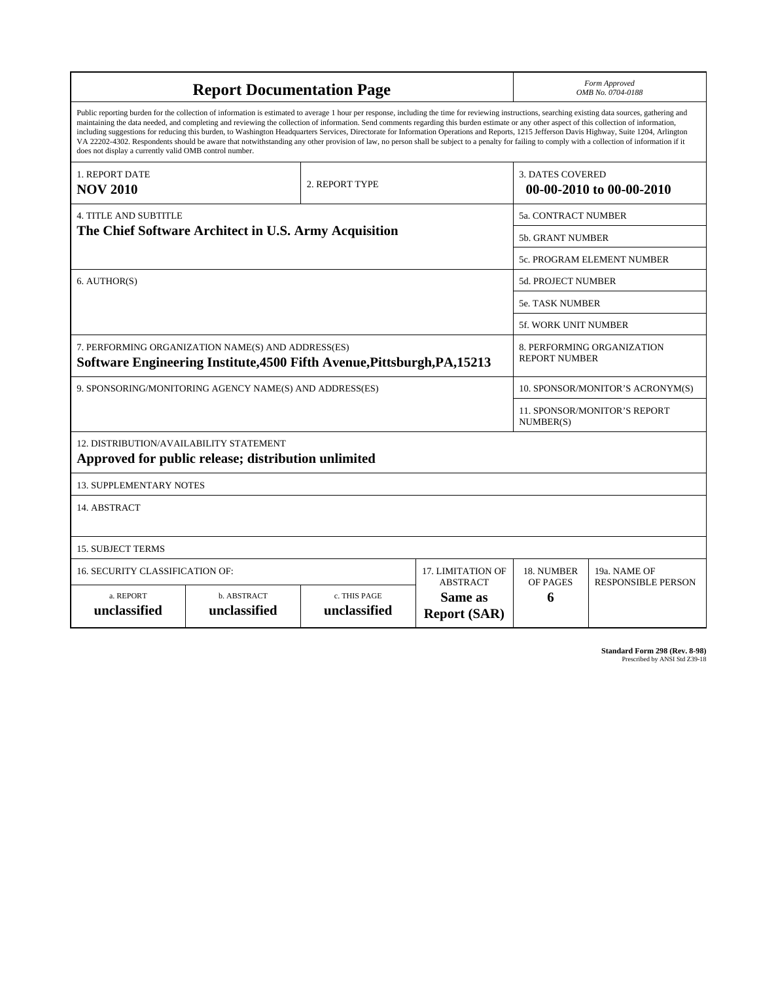| <b>Report Documentation Page</b>                                                                                                                                                                                                                                                                                                                                                                                                                                                                                                                                                                                                                                                                                                                                                                                                                                   |                                    |                              |                                             | Form Approved<br>OMB No. 0704-0188                  |                                           |  |
|--------------------------------------------------------------------------------------------------------------------------------------------------------------------------------------------------------------------------------------------------------------------------------------------------------------------------------------------------------------------------------------------------------------------------------------------------------------------------------------------------------------------------------------------------------------------------------------------------------------------------------------------------------------------------------------------------------------------------------------------------------------------------------------------------------------------------------------------------------------------|------------------------------------|------------------------------|---------------------------------------------|-----------------------------------------------------|-------------------------------------------|--|
| Public reporting burden for the collection of information is estimated to average 1 hour per response, including the time for reviewing instructions, searching existing data sources, gathering and<br>maintaining the data needed, and completing and reviewing the collection of information. Send comments regarding this burden estimate or any other aspect of this collection of information,<br>including suggestions for reducing this burden, to Washington Headquarters Services, Directorate for Information Operations and Reports, 1215 Jefferson Davis Highway, Suite 1204, Arlington<br>VA 22202-4302. Respondents should be aware that notwithstanding any other provision of law, no person shall be subject to a penalty for failing to comply with a collection of information if it<br>does not display a currently valid OMB control number. |                                    |                              |                                             |                                                     |                                           |  |
| 1. REPORT DATE<br><b>NOV 2010</b>                                                                                                                                                                                                                                                                                                                                                                                                                                                                                                                                                                                                                                                                                                                                                                                                                                  |                                    | 2. REPORT TYPE               |                                             | <b>3. DATES COVERED</b><br>00-00-2010 to 00-00-2010 |                                           |  |
| <b>4. TITLE AND SUBTITLE</b>                                                                                                                                                                                                                                                                                                                                                                                                                                                                                                                                                                                                                                                                                                                                                                                                                                       |                                    |                              |                                             |                                                     | <b>5a. CONTRACT NUMBER</b>                |  |
| The Chief Software Architect in U.S. Army Acquisition                                                                                                                                                                                                                                                                                                                                                                                                                                                                                                                                                                                                                                                                                                                                                                                                              |                                    |                              |                                             | 5b. GRANT NUMBER                                    |                                           |  |
|                                                                                                                                                                                                                                                                                                                                                                                                                                                                                                                                                                                                                                                                                                                                                                                                                                                                    |                                    |                              | 5c. PROGRAM ELEMENT NUMBER                  |                                                     |                                           |  |
| 6. AUTHOR(S)                                                                                                                                                                                                                                                                                                                                                                                                                                                                                                                                                                                                                                                                                                                                                                                                                                                       |                                    |                              | <b>5d. PROJECT NUMBER</b>                   |                                                     |                                           |  |
|                                                                                                                                                                                                                                                                                                                                                                                                                                                                                                                                                                                                                                                                                                                                                                                                                                                                    |                                    |                              | <b>5e. TASK NUMBER</b>                      |                                                     |                                           |  |
|                                                                                                                                                                                                                                                                                                                                                                                                                                                                                                                                                                                                                                                                                                                                                                                                                                                                    |                                    |                              |                                             | <b>5f. WORK UNIT NUMBER</b>                         |                                           |  |
| 7. PERFORMING ORGANIZATION NAME(S) AND ADDRESS(ES)<br>Software Engineering Institute, 4500 Fifth Avenue, Pittsburgh, PA, 15213                                                                                                                                                                                                                                                                                                                                                                                                                                                                                                                                                                                                                                                                                                                                     |                                    |                              |                                             | 8. PERFORMING ORGANIZATION<br><b>REPORT NUMBER</b>  |                                           |  |
| 9. SPONSORING/MONITORING AGENCY NAME(S) AND ADDRESS(ES)                                                                                                                                                                                                                                                                                                                                                                                                                                                                                                                                                                                                                                                                                                                                                                                                            |                                    |                              | 10. SPONSOR/MONITOR'S ACRONYM(S)            |                                                     |                                           |  |
|                                                                                                                                                                                                                                                                                                                                                                                                                                                                                                                                                                                                                                                                                                                                                                                                                                                                    |                                    |                              |                                             | <b>11. SPONSOR/MONITOR'S REPORT</b><br>NUMBER(S)    |                                           |  |
| 12. DISTRIBUTION/AVAILABILITY STATEMENT<br>Approved for public release; distribution unlimited                                                                                                                                                                                                                                                                                                                                                                                                                                                                                                                                                                                                                                                                                                                                                                     |                                    |                              |                                             |                                                     |                                           |  |
| <b>13. SUPPLEMENTARY NOTES</b>                                                                                                                                                                                                                                                                                                                                                                                                                                                                                                                                                                                                                                                                                                                                                                                                                                     |                                    |                              |                                             |                                                     |                                           |  |
| 14. ABSTRACT                                                                                                                                                                                                                                                                                                                                                                                                                                                                                                                                                                                                                                                                                                                                                                                                                                                       |                                    |                              |                                             |                                                     |                                           |  |
| <b>15. SUBJECT TERMS</b>                                                                                                                                                                                                                                                                                                                                                                                                                                                                                                                                                                                                                                                                                                                                                                                                                                           |                                    |                              |                                             |                                                     |                                           |  |
| <b>16. SECURITY CLASSIFICATION OF:</b>                                                                                                                                                                                                                                                                                                                                                                                                                                                                                                                                                                                                                                                                                                                                                                                                                             |                                    |                              | <b>17. LIMITATION OF</b><br><b>ABSTRACT</b> | 18. NUMBER<br>OF PAGES                              | 19a. NAME OF<br><b>RESPONSIBLE PERSON</b> |  |
| a. REPORT<br>unclassified                                                                                                                                                                                                                                                                                                                                                                                                                                                                                                                                                                                                                                                                                                                                                                                                                                          | <b>b. ABSTRACT</b><br>unclassified | c. THIS PAGE<br>unclassified | Same as<br><b>Report (SAR)</b>              | 6                                                   |                                           |  |

**Standard Form 298 (Rev. 8-98)**<br>Prescribed by ANSI Std Z39-18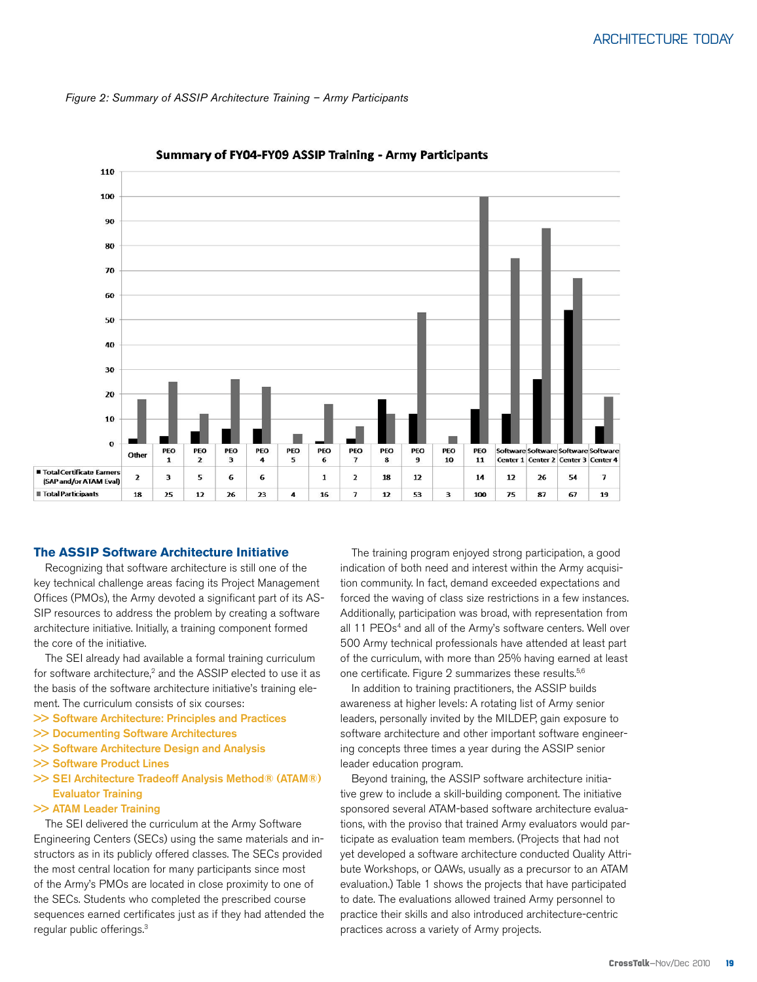



#### Summary of FY04-FY09 ASSIP Training - Army Participants

#### **The ASSIP Software Architecture Initiative**

Recognizing that software architecture is still one of the key technical challenge areas facing its Project Management Offices (PMOs), the Army devoted a significant part of its AS-SIP resources to address the problem by creating a software architecture initiative. Initially, a training component formed the core of the initiative.

The SEI already had available a formal training curriculum for software architecture,<sup>2</sup> and the ASSIP elected to use it as the basis of the software architecture initiative's training element. The curriculum consists of six courses:

- >> Software Architecture: Principles and Practices
- >> Documenting Software Architectures
- >> Software Architecture Design and Analysis
- >> Software Product Lines
- >> SEI Architecture Tradeoff Analysis Method® (ATAM®) Evaluator Training
- >> ATAM Leader Training

The SEI delivered the curriculum at the Army Software Engineering Centers (SECs) using the same materials and instructors as in its publicly offered classes. The SECs provided the most central location for many participants since most of the Army's PMOs are located in close proximity to one of the SECs. Students who completed the prescribed course sequences earned certificates just as if they had attended the regular public offerings.3

The training program enjoyed strong participation, a good indication of both need and interest within the Army acquisition community. In fact, demand exceeded expectations and forced the waving of class size restrictions in a few instances. Additionally, participation was broad, with representation from all 11 PEOs<sup>4</sup> and all of the Army's software centers. Well over 500 Army technical professionals have attended at least part of the curriculum, with more than 25% having earned at least one certificate. Figure 2 summarizes these results.<sup>5,6</sup>

In addition to training practitioners, the ASSIP builds awareness at higher levels: A rotating list of Army senior leaders, personally invited by the MILDEP, gain exposure to software architecture and other important software engineering concepts three times a year during the ASSIP senior leader education program.

Beyond training, the ASSIP software architecture initiative grew to include a skill-building component. The initiative sponsored several ATAM-based software architecture evaluations, with the proviso that trained Army evaluators would participate as evaluation team members. (Projects that had not yet developed a software architecture conducted Quality Attribute Workshops, or QAWs, usually as a precursor to an ATAM evaluation.) Table 1 shows the projects that have participated to date. The evaluations allowed trained Army personnel to practice their skills and also introduced architecture-centric practices across a variety of Army projects.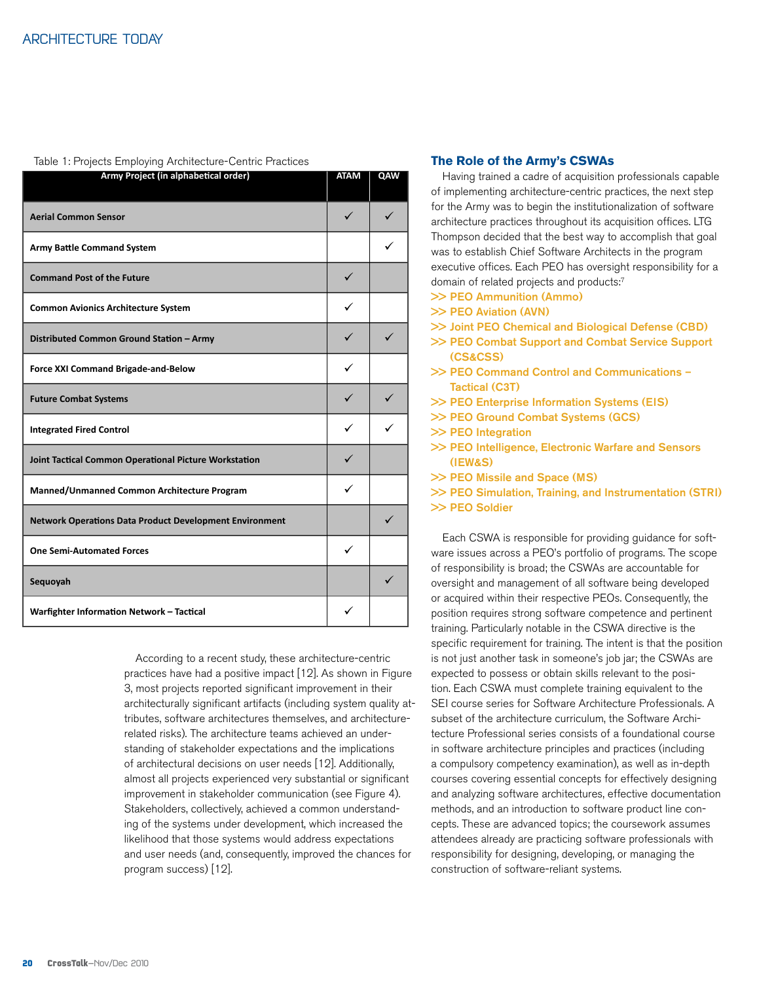#### Table 1: Projects Employing Architecture-Centric Practices

| Army Project (in alphabetical order)                           | <b>ATAM</b> | QAW |
|----------------------------------------------------------------|-------------|-----|
| <b>Aerial Common Sensor</b>                                    | ✓           |     |
| <b>Army Battle Command System</b>                              |             |     |
| <b>Command Post of the Future</b>                              | ✓           |     |
| <b>Common Avionics Architecture System</b>                     | ✓           |     |
| Distributed Common Ground Station - Army                       | ✓           |     |
| Force XXI Command Brigade-and-Below                            | ✓           |     |
| <b>Future Combat Systems</b>                                   | ✓           |     |
| <b>Integrated Fired Control</b>                                | ✓           |     |
| Joint Tactical Common Operational Picture Workstation          | ✓           |     |
| Manned/Unmanned Common Architecture Program                    | ✓           |     |
| <b>Network Operations Data Product Development Environment</b> |             | ✓   |
| <b>One Semi-Automated Forces</b>                               |             |     |
| Sequoyah                                                       |             | ✓   |
| Warfighter Information Network - Tactical                      | ✓           |     |

According to a recent study, these architecture-centric practices have had a positive impact [12]. As shown in Figure 3, most projects reported significant improvement in their architecturally significant artifacts (including system quality attributes, software architectures themselves, and architecturerelated risks). The architecture teams achieved an understanding of stakeholder expectations and the implications of architectural decisions on user needs [12]. Additionally, almost all projects experienced very substantial or significant improvement in stakeholder communication (see Figure 4). Stakeholders, collectively, achieved a common understanding of the systems under development, which increased the likelihood that those systems would address expectations and user needs (and, consequently, improved the chances for program success) [12].

#### **The Role of the Army's CSWAs**

Having trained a cadre of acquisition professionals capable of implementing architecture-centric practices, the next step for the Army was to begin the institutionalization of software architecture practices throughout its acquisition offices. LTG Thompson decided that the best way to accomplish that goal was to establish Chief Software Architects in the program executive offices. Each PEO has oversight responsibility for a domain of related projects and products:7

- >> PEO Ammunition (Ammo)
- >> PEO Aviation (AVN)
- >> Joint PEO Chemical and Biological Defense (CBD)
- >> PEO Combat Support and Combat Service Support (CS&CSS)
- >> PEO Command Control and Communications Tactical (C3T)
- >> PEO Enterprise Information Systems (EIS)
- >> PEO Ground Combat Systems (GCS)
- >> PEO Integration
- >> PEO Intelligence, Electronic Warfare and Sensors (IEW&S)
- >> PEO Missile and Space (MS)
- >> PEO Simulation, Training, and Instrumentation (STRI) >> PEO Soldier

Each CSWA is responsible for providing guidance for software issues across a PEO's portfolio of programs. The scope of responsibility is broad; the CSWAs are accountable for oversight and management of all software being developed or acquired within their respective PEOs. Consequently, the position requires strong software competence and pertinent training. Particularly notable in the CSWA directive is the specific requirement for training. The intent is that the position is not just another task in someone's job jar; the CSWAs are expected to possess or obtain skills relevant to the position. Each CSWA must complete training equivalent to the SEI course series for Software Architecture Professionals. A subset of the architecture curriculum, the Software Architecture Professional series consists of a foundational course in software architecture principles and practices (including a compulsory competency examination), as well as in-depth courses covering essential concepts for effectively designing and analyzing software architectures, effective documentation methods, and an introduction to software product line concepts. These are advanced topics; the coursework assumes attendees already are practicing software professionals with responsibility for designing, developing, or managing the construction of software-reliant systems.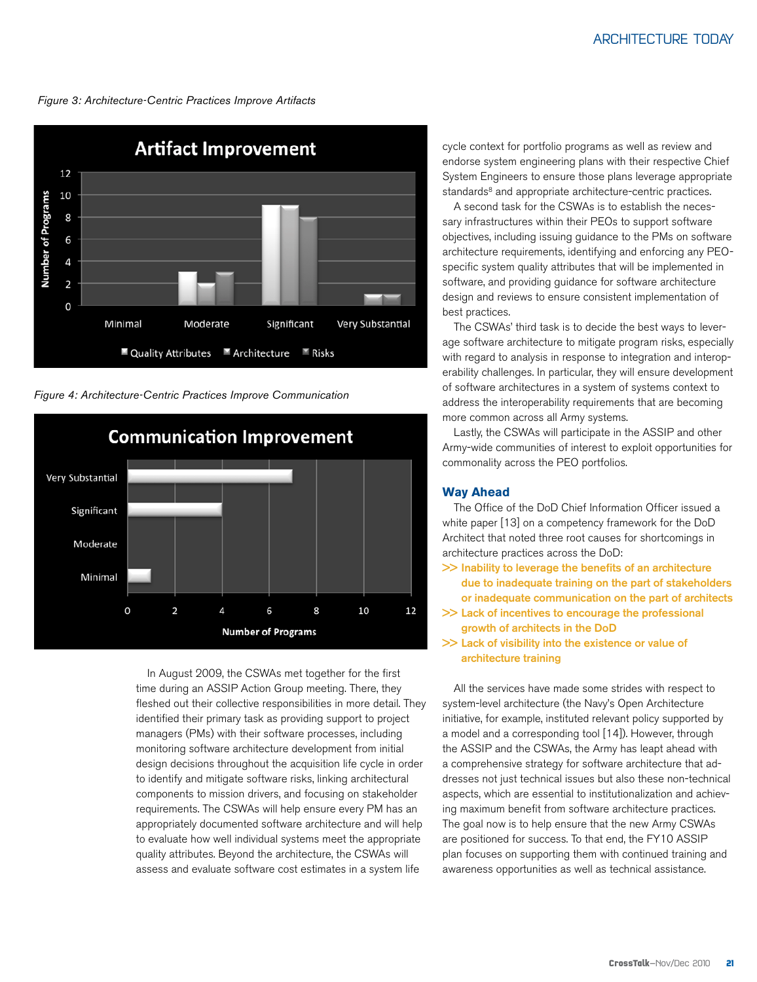*Figure 3: Architecture-Centric Practices Improve Artifacts*



*Figure 4: Architecture-Centric Practices Improve Communication*



In August 2009, the CSWAs met together for the first time during an ASSIP Action Group meeting. There, they fleshed out their collective responsibilities in more detail. They identified their primary task as providing support to project managers (PMs) with their software processes, including monitoring software architecture development from initial design decisions throughout the acquisition life cycle in order to identify and mitigate software risks, linking architectural components to mission drivers, and focusing on stakeholder requirements. The CSWAs will help ensure every PM has an appropriately documented software architecture and will help to evaluate how well individual systems meet the appropriate quality attributes. Beyond the architecture, the CSWAs will assess and evaluate software cost estimates in a system life

cycle context for portfolio programs as well as review and endorse system engineering plans with their respective Chief System Engineers to ensure those plans leverage appropriate standards<sup>8</sup> and appropriate architecture-centric practices.

A second task for the CSWAs is to establish the necessary infrastructures within their PEOs to support software objectives, including issuing guidance to the PMs on software architecture requirements, identifying and enforcing any PEOspecific system quality attributes that will be implemented in software, and providing guidance for software architecture design and reviews to ensure consistent implementation of best practices.

The CSWAs' third task is to decide the best ways to leverage software architecture to mitigate program risks, especially with regard to analysis in response to integration and interoperability challenges. In particular, they will ensure development of software architectures in a system of systems context to address the interoperability requirements that are becoming more common across all Army systems.

Lastly, the CSWAs will participate in the ASSIP and other Army-wide communities of interest to exploit opportunities for commonality across the PEO portfolios.

#### **Way Ahead**

The Office of the DoD Chief Information Officer issued a white paper [13] on a competency framework for the DoD Architect that noted three root causes for shortcomings in architecture practices across the DoD:

- >> Inability to leverage the benefits of an architecture due to inadequate training on the part of stakeholders or inadequate communication on the part of architects
- >> Lack of incentives to encourage the professional growth of architects in the DoD
- >> Lack of visibility into the existence or value of architecture training

All the services have made some strides with respect to system-level architecture (the Navy's Open Architecture initiative, for example, instituted relevant policy supported by a model and a corresponding tool [14]). However, through the ASSIP and the CSWAs, the Army has leapt ahead with a comprehensive strategy for software architecture that addresses not just technical issues but also these non-technical aspects, which are essential to institutionalization and achieving maximum benefit from software architecture practices. The goal now is to help ensure that the new Army CSWAs are positioned for success. To that end, the FY10 ASSIP plan focuses on supporting them with continued training and awareness opportunities as well as technical assistance.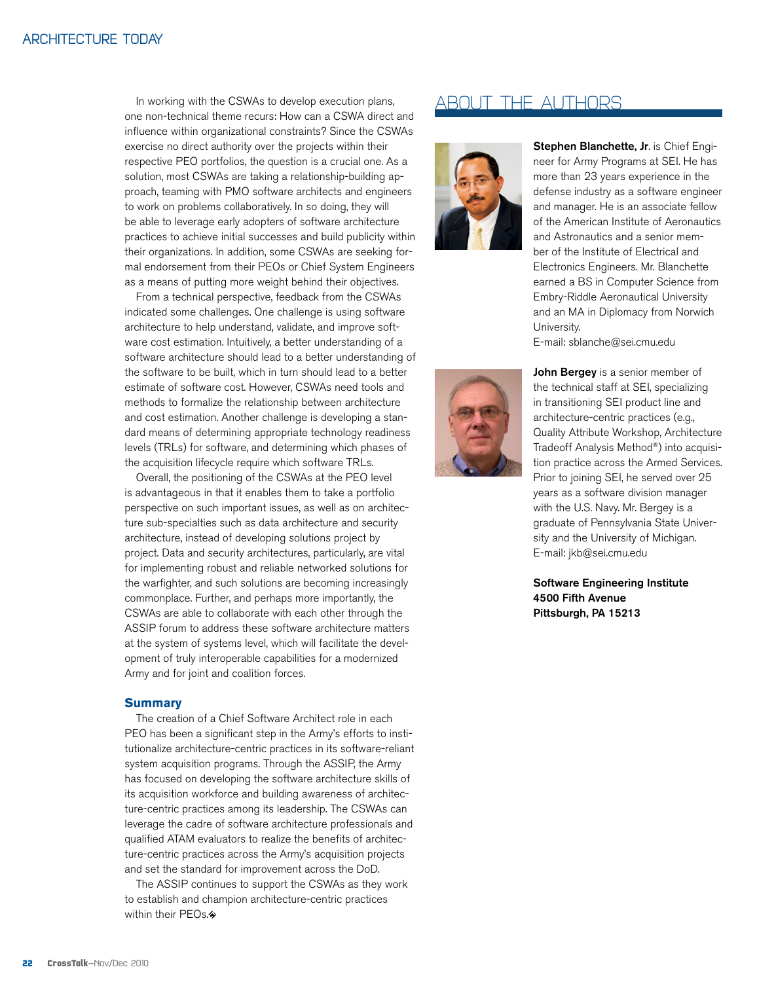### Architecture today

In working with the CSWAs to develop execution plans, one non-technical theme recurs: How can a CSWA direct and influence within organizational constraints? Since the CSWAs exercise no direct authority over the projects within their respective PEO portfolios, the question is a crucial one. As a solution, most CSWAs are taking a relationship-building approach, teaming with PMO software architects and engineers to work on problems collaboratively. In so doing, they will be able to leverage early adopters of software architecture practices to achieve initial successes and build publicity within their organizations. In addition, some CSWAs are seeking formal endorsement from their PEOs or Chief System Engineers as a means of putting more weight behind their objectives.

From a technical perspective, feedback from the CSWAs indicated some challenges. One challenge is using software architecture to help understand, validate, and improve software cost estimation. Intuitively, a better understanding of a software architecture should lead to a better understanding of the software to be built, which in turn should lead to a better estimate of software cost. However, CSWAs need tools and methods to formalize the relationship between architecture and cost estimation. Another challenge is developing a standard means of determining appropriate technology readiness levels (TRLs) for software, and determining which phases of the acquisition lifecycle require which software TRLs.

Overall, the positioning of the CSWAs at the PEO level is advantageous in that it enables them to take a portfolio perspective on such important issues, as well as on architecture sub-specialties such as data architecture and security architecture, instead of developing solutions project by project. Data and security architectures, particularly, are vital for implementing robust and reliable networked solutions for the warfighter, and such solutions are becoming increasingly commonplace. Further, and perhaps more importantly, the CSWAs are able to collaborate with each other through the ASSIP forum to address these software architecture matters at the system of systems level, which will facilitate the development of truly interoperable capabilities for a modernized Army and for joint and coalition forces.

#### **Summary**

The creation of a Chief Software Architect role in each PEO has been a significant step in the Army's efforts to institutionalize architecture-centric practices in its software-reliant system acquisition programs. Through the ASSIP, the Army has focused on developing the software architecture skills of its acquisition workforce and building awareness of architecture-centric practices among its leadership. The CSWAs can leverage the cadre of software architecture professionals and qualified ATAM evaluators to realize the benefits of architecture-centric practices across the Army's acquisition projects and set the standard for improvement across the DoD.

The ASSIP continues to support the CSWAs as they work to establish and champion architecture-centric practices within their PEOs.<sup>\*</sup>

## ABOUT THE AUTHORS



Stephen Blanchette, Jr. is Chief Engineer for Army Programs at SEI. He has more than 23 years experience in the defense industry as a software engineer and manager. He is an associate fellow of the American Institute of Aeronautics and Astronautics and a senior member of the Institute of Electrical and Electronics Engineers. Mr. Blanchette earned a BS in Computer Science from Embry-Riddle Aeronautical University and an MA in Diplomacy from Norwich University.

E-mail: [sblanche@sei.cmu.edu](mailto:sblanche@sei.cmu.edu)



John Bergey is a senior member of the technical staff at SEI, specializing in transitioning SEI product line and architecture-centric practices (e.g., Quality Attribute Workshop, Architecture Tradeoff Analysis Method®) into acquisition practice across the Armed Services. Prior to joining SEI, he served over 25 years as a software division manager with the U.S. Navy. Mr. Bergey is a graduate of Pennsylvania State University and the University of Michigan. E-mail: [jkb@sei.cmu.edu](mailto:jkb@sei.cmu.edu)

Software Engineering Institute 4500 Fifth Avenue Pittsburgh, PA 15213